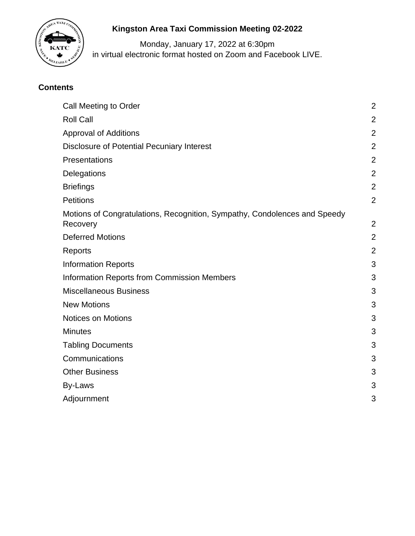

# **Kingston Area Taxi Commission Meeting 02-2022**

Monday, January 17, 2022 at 6:30pm in virtual electronic format hosted on Zoom and Facebook LIVE.

## **Contents**

| Call Meeting to Order                                                                 | $\overline{a}$ |
|---------------------------------------------------------------------------------------|----------------|
| <b>Roll Call</b>                                                                      | $\overline{2}$ |
| <b>Approval of Additions</b>                                                          | $\overline{2}$ |
| Disclosure of Potential Pecuniary Interest                                            | $\overline{2}$ |
| Presentations                                                                         | $\overline{c}$ |
| Delegations                                                                           | $\overline{2}$ |
| <b>Briefings</b>                                                                      | $\overline{a}$ |
| <b>Petitions</b>                                                                      | $\overline{2}$ |
| Motions of Congratulations, Recognition, Sympathy, Condolences and Speedy<br>Recovery | $\overline{2}$ |
| <b>Deferred Motions</b>                                                               | $\overline{2}$ |
| Reports                                                                               | $\overline{2}$ |
| <b>Information Reports</b>                                                            | 3              |
| <b>Information Reports from Commission Members</b>                                    | 3              |
| <b>Miscellaneous Business</b>                                                         | 3              |
| <b>New Motions</b>                                                                    | 3              |
| <b>Notices on Motions</b>                                                             | 3              |
| <b>Minutes</b>                                                                        | 3              |
| <b>Tabling Documents</b>                                                              | 3              |
| Communications                                                                        | 3              |
| <b>Other Business</b>                                                                 | 3              |
| <b>By-Laws</b>                                                                        | 3              |
| Adjournment                                                                           | 3              |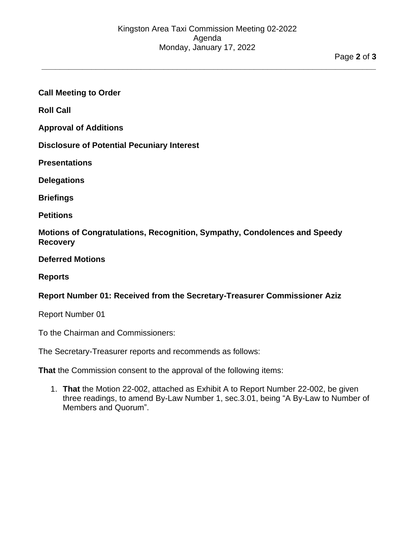**\_\_\_\_\_\_\_\_\_\_\_\_\_\_\_\_\_\_\_\_\_\_\_\_\_\_\_\_\_\_\_\_\_\_\_\_\_\_\_\_\_\_\_\_\_\_\_\_\_\_\_\_\_\_\_\_\_\_\_\_\_\_\_\_\_\_\_\_\_\_\_\_\_\_**

### <span id="page-1-0"></span>**Call Meeting to Order**

<span id="page-1-1"></span>**Roll Call**

<span id="page-1-2"></span>**Approval of Additions**

<span id="page-1-3"></span>**Disclosure of Potential Pecuniary Interest**

<span id="page-1-4"></span>**Presentations**

<span id="page-1-5"></span>**Delegations**

<span id="page-1-7"></span><span id="page-1-6"></span>**Briefings**

<span id="page-1-8"></span>**Petitions**

**Motions of Congratulations, Recognition, Sympathy, Condolences and Speedy Recovery**

<span id="page-1-9"></span>**Deferred Motions**

#### <span id="page-1-10"></span>**Reports**

### **Report Number 01: Received from the Secretary-Treasurer Commissioner Aziz**

Report Number 01

To the Chairman and Commissioners:

The Secretary-Treasurer reports and recommends as follows:

**That** the Commission consent to the approval of the following items:

1. **That** the Motion 22-002, attached as Exhibit A to Report Number 22-002, be given three readings, to amend By-Law Number 1, sec.3.01, being "A By-Law to Number of Members and Quorum".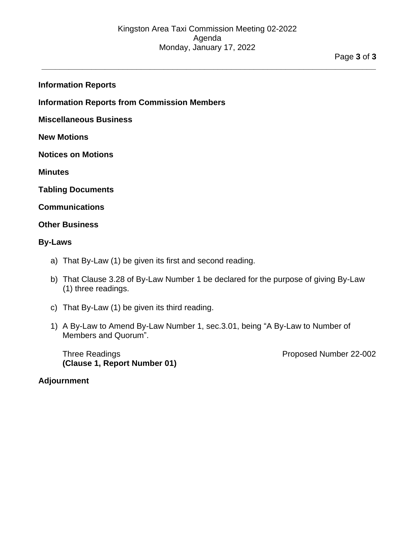**\_\_\_\_\_\_\_\_\_\_\_\_\_\_\_\_\_\_\_\_\_\_\_\_\_\_\_\_\_\_\_\_\_\_\_\_\_\_\_\_\_\_\_\_\_\_\_\_\_\_\_\_\_\_\_\_\_\_\_\_\_\_\_\_\_\_\_\_\_\_\_\_\_\_**

<span id="page-2-0"></span>**Information Reports**

<span id="page-2-1"></span>**Information Reports from Commission Members**

<span id="page-2-2"></span>**Miscellaneous Business**

<span id="page-2-3"></span>**New Motions**

<span id="page-2-4"></span>**Notices on Motions**

<span id="page-2-5"></span>**Minutes**

<span id="page-2-7"></span><span id="page-2-6"></span>**Tabling Documents**

#### <span id="page-2-8"></span>**Communications**

#### **Other Business**

#### <span id="page-2-9"></span>**By-Laws**

- a) That By-Law (1) be given its first and second reading.
- b) That Clause 3.28 of By-Law Number 1 be declared for the purpose of giving By-Law (1) three readings.
- c) That By-Law (1) be given its third reading.
- 1) A By-Law to Amend By-Law Number 1, sec.3.01, being "A By-Law to Number of Members and Quorum".

Three Readings **Proposed Number 22-002 (Clause 1, Report Number 01)**

#### <span id="page-2-10"></span>**Adjournment**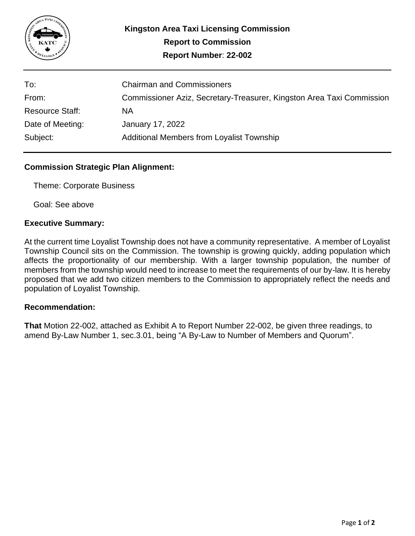

| To:                    | <b>Chairman and Commissioners</b>                                     |
|------------------------|-----------------------------------------------------------------------|
| From:                  | Commissioner Aziz, Secretary-Treasurer, Kingston Area Taxi Commission |
| <b>Resource Staff:</b> | <b>NA</b>                                                             |
| Date of Meeting:       | January 17, 2022                                                      |
| Subject:               | <b>Additional Members from Loyalist Township</b>                      |

## **Commission Strategic Plan Alignment:**

Theme: Corporate Business

Goal: See above

#### **Executive Summary:**

At the current time Loyalist Township does not have a community representative. A member of Loyalist Township Council sits on the Commission. The township is growing quickly, adding population which affects the proportionality of our membership. With a larger township population, the number of members from the township would need to increase to meet the requirements of our by-law. It is hereby proposed that we add two citizen members to the Commission to appropriately reflect the needs and population of Loyalist Township.

#### **Recommendation:**

**That** Motion 22-002, attached as Exhibit A to Report Number 22-002, be given three readings, to amend By-Law Number 1, sec.3.01, being "A By-Law to Number of Members and Quorum".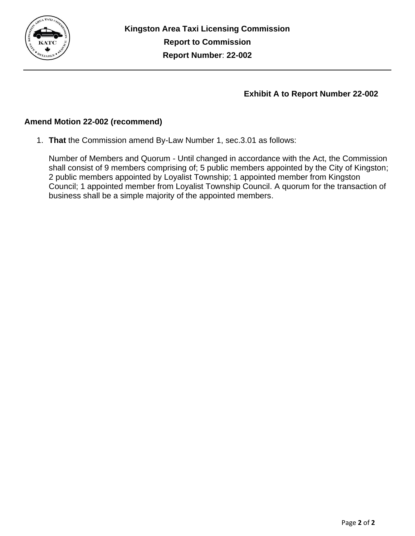

## **Exhibit A to Report Number 22-002**

## **Amend Motion 22-002 (recommend)**

1. **That** the Commission amend By-Law Number 1, sec.3.01 as follows:

Number of Members and Quorum - Until changed in accordance with the Act, the Commission shall consist of 9 members comprising of; 5 public members appointed by the City of Kingston; 2 public members appointed by Loyalist Township; 1 appointed member from Kingston Council; 1 appointed member from Loyalist Township Council. A quorum for the transaction of business shall be a simple majority of the appointed members.